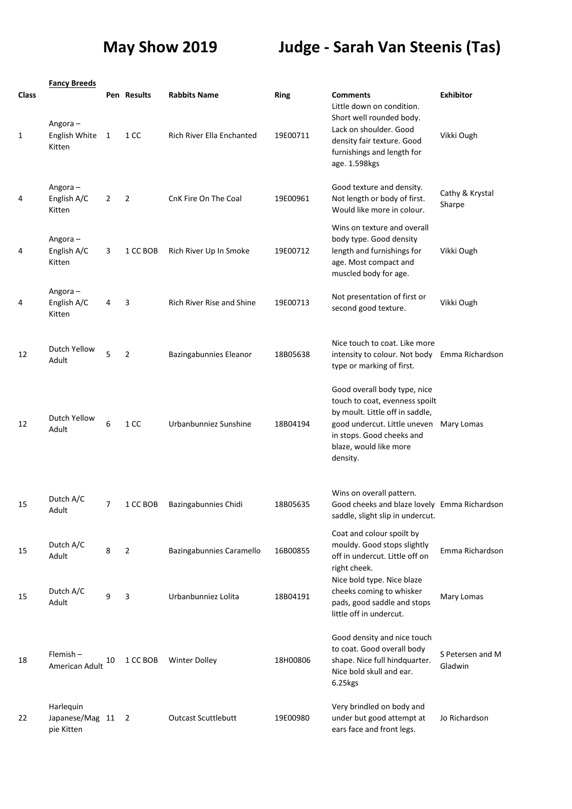## **May Show 2019 Judge - Sarah Van Steenis (Tas)**

|              | <b>Fancy Breeds</b>                          |                |                |                                  |             |                                                                                                                                                                                                      |                             |
|--------------|----------------------------------------------|----------------|----------------|----------------------------------|-------------|------------------------------------------------------------------------------------------------------------------------------------------------------------------------------------------------------|-----------------------------|
| <b>Class</b> |                                              |                | Pen Results    | <b>Rabbits Name</b>              | <b>Ring</b> | <b>Comments</b><br>Little down on condition.                                                                                                                                                         | <b>Exhibitor</b>            |
| 1            | Angora-<br>English White<br>Kitten           | 1              | 1 CC           | Rich River Ella Enchanted        | 19E00711    | Short well rounded body.<br>Lack on shoulder. Good<br>density fair texture. Good<br>furnishings and length for<br>age. 1.598kgs                                                                      | Vikki Ough                  |
| 4            | Angora-<br>English A/C<br>Kitten             | 2              | $\overline{2}$ | CnK Fire On The Coal             | 19E00961    | Good texture and density.<br>Not length or body of first.<br>Would like more in colour.                                                                                                              | Cathy & Krystal<br>Sharpe   |
| 4            | Angora-<br>English A/C<br>Kitten             | 3              | 1 CC BOB       | Rich River Up In Smoke           | 19E00712    | Wins on texture and overall<br>body type. Good density<br>length and furnishings for<br>age. Most compact and<br>muscled body for age.                                                               | Vikki Ough                  |
| 4            | Angora-<br>English A/C<br>Kitten             | 4              | 3              | <b>Rich River Rise and Shine</b> | 19E00713    | Not presentation of first or<br>second good texture.                                                                                                                                                 | Vikki Ough                  |
| 12           | Dutch Yellow<br>Adult                        | 5              | $\overline{2}$ | Bazingabunnies Eleanor           | 18B05638    | Nice touch to coat. Like more<br>intensity to colour. Not body<br>type or marking of first.                                                                                                          | Emma Richardson             |
| 12           | Dutch Yellow<br>Adult                        | 6              | 1 CC           | Urbanbunniez Sunshine            | 18B04194    | Good overall body type, nice<br>touch to coat, evenness spoilt<br>by moult. Little off in saddle,<br>good undercut. Little uneven<br>in stops. Good cheeks and<br>blaze, would like more<br>density. | Mary Lomas                  |
| 15           | Dutch A/C<br>Adult                           | $\overline{7}$ | 1 CC BOB       | Bazingabunnies Chidi             | 18B05635    | Wins on overall pattern.<br>Good cheeks and blaze lovely Emma Richardson<br>saddle, slight slip in undercut.                                                                                         |                             |
| 15           | Dutch A/C<br>Adult                           | 8              | $\overline{2}$ | Bazingabunnies Caramello         | 16B00855    | Coat and colour spoilt by<br>mouldy. Good stops slightly<br>off in undercut. Little off on<br>right cheek.                                                                                           | Emma Richardson             |
| 15           | Dutch A/C<br>Adult                           | 9              | 3              | Urbanbunniez Lolita              | 18B04191    | Nice bold type. Nice blaze<br>cheeks coming to whisker<br>pads, good saddle and stops<br>little off in undercut.                                                                                     | Mary Lomas                  |
| 18           | Flemish-<br>American Adult                   | 10             | 1 CC BOB       | <b>Winter Dolley</b>             | 18H00806    | Good density and nice touch<br>to coat. Good overall body<br>shape. Nice full hindquarter.<br>Nice bold skull and ear.<br>6.25kgs                                                                    | S Petersen and M<br>Gladwin |
| 22           | Harlequin<br>Japanese/Mag 11 2<br>pie Kitten |                |                | <b>Outcast Scuttlebutt</b>       | 19E00980    | Very brindled on body and<br>under but good attempt at<br>ears face and front legs.                                                                                                                  | Jo Richardson               |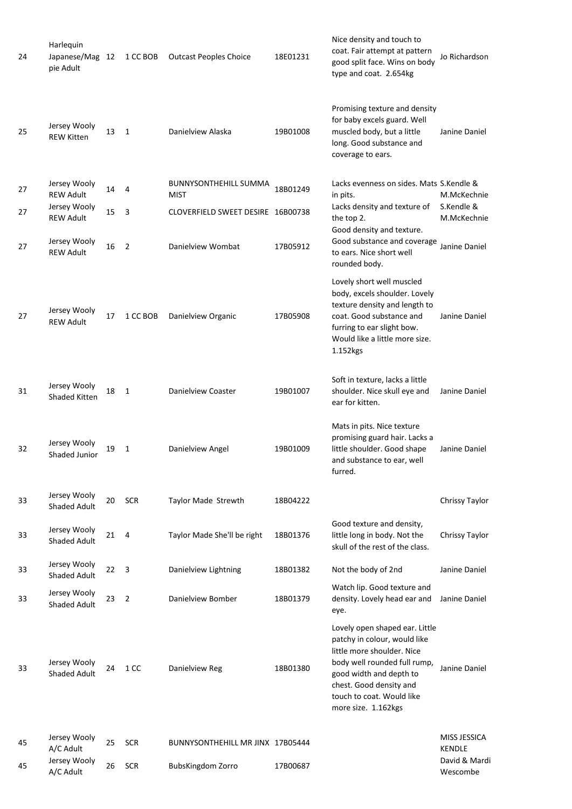| 24 | Harlequin<br>Japanese/Mag 12<br>pie Adult |    | 1 CC BOB       | <b>Outcast Peoples Choice</b>               | 18E01231 | Nice density and touch to<br>coat. Fair attempt at pattern<br>good split face. Wins on body<br>type and coat. 2.654kg                                                                                                                  | Jo Richardson                        |
|----|-------------------------------------------|----|----------------|---------------------------------------------|----------|----------------------------------------------------------------------------------------------------------------------------------------------------------------------------------------------------------------------------------------|--------------------------------------|
| 25 | Jersey Wooly<br><b>REW Kitten</b>         | 13 | $\mathbf{1}$   | Danielview Alaska                           | 19B01008 | Promising texture and density<br>for baby excels guard. Well<br>muscled body, but a little<br>long. Good substance and<br>coverage to ears.                                                                                            | Janine Daniel                        |
| 27 | Jersey Wooly<br><b>REW Adult</b>          | 14 | 4              | <b>BUNNYSONTHEHILL SUMMA</b><br><b>MIST</b> | 18B01249 | Lacks evenness on sides. Mats S.Kendle &<br>in pits.                                                                                                                                                                                   | M.McKechnie                          |
| 27 | Jersey Wooly<br><b>REW Adult</b>          | 15 | 3              | CLOVERFIELD SWEET DESIRE 16B00738           |          | Lacks density and texture of<br>the top 2.                                                                                                                                                                                             | S.Kendle &<br>M.McKechnie            |
| 27 | Jersey Wooly<br><b>REW Adult</b>          | 16 | $\overline{2}$ | Danielview Wombat                           | 17B05912 | Good density and texture.<br>Good substance and coverage<br>to ears. Nice short well<br>rounded body.                                                                                                                                  | Janine Daniel                        |
| 27 | Jersey Wooly<br><b>REW Adult</b>          | 17 | 1 CC BOB       | Danielview Organic                          | 17B05908 | Lovely short well muscled<br>body, excels shoulder. Lovely<br>texture density and length to<br>coat. Good substance and<br>furring to ear slight bow.<br>Would like a little more size.<br>1.152kgs                                    | Janine Daniel                        |
| 31 | Jersey Wooly<br><b>Shaded Kitten</b>      | 18 | 1              | Danielview Coaster                          | 19B01007 | Soft in texture, lacks a little<br>shoulder. Nice skull eye and<br>ear for kitten.                                                                                                                                                     | Janine Daniel                        |
| 32 | Jersey Wooly<br><b>Shaded Junior</b>      | 19 | 1              | Danielview Angel                            | 19B01009 | Mats in pits. Nice texture<br>promising guard hair. Lacks a<br>little shoulder. Good shape<br>and substance to ear, well<br>furred.                                                                                                    | Janine Daniel                        |
| 33 | Jersey Wooly<br><b>Shaded Adult</b>       | 20 | <b>SCR</b>     | Taylor Made Strewth                         | 18B04222 |                                                                                                                                                                                                                                        | Chrissy Taylor                       |
| 33 | Jersey Wooly<br><b>Shaded Adult</b>       | 21 | 4              | Taylor Made She'll be right                 | 18B01376 | Good texture and density,<br>little long in body. Not the<br>skull of the rest of the class.                                                                                                                                           | Chrissy Taylor                       |
| 33 | Jersey Wooly<br><b>Shaded Adult</b>       | 22 | 3              | Danielview Lightning                        | 18B01382 | Not the body of 2nd                                                                                                                                                                                                                    | Janine Daniel                        |
| 33 | Jersey Wooly<br><b>Shaded Adult</b>       | 23 | $\overline{2}$ | Danielview Bomber                           | 18B01379 | Watch lip. Good texture and<br>density. Lovely head ear and<br>eye.                                                                                                                                                                    | Janine Daniel                        |
| 33 | Jersey Wooly<br><b>Shaded Adult</b>       | 24 | 1 CC           | Danielview Reg                              | 18B01380 | Lovely open shaped ear. Little<br>patchy in colour, would like<br>little more shoulder. Nice<br>body well rounded full rump,<br>good width and depth to<br>chest. Good density and<br>touch to coat. Would like<br>more size. 1.162kgs | Janine Daniel                        |
| 45 | Jersey Wooly<br>A/C Adult                 | 25 | <b>SCR</b>     | BUNNYSONTHEHILL MR JINX 17B05444            |          |                                                                                                                                                                                                                                        | <b>MISS JESSICA</b><br><b>KENDLE</b> |
| 45 | Jersey Wooly<br>A/C Adult                 | 26 | <b>SCR</b>     | BubsKingdom Zorro                           | 17B00687 |                                                                                                                                                                                                                                        | David & Mardi<br>Wescombe            |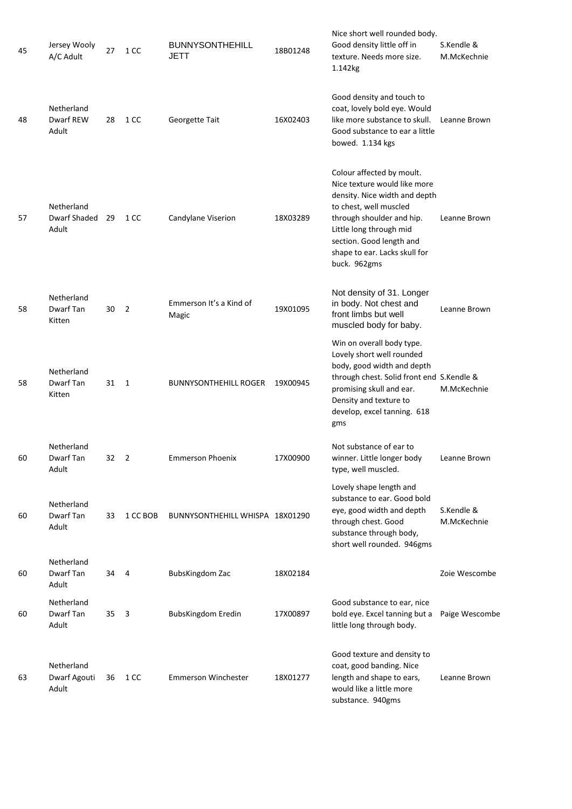| 45 | Jersey Wooly<br>A/C Adult           | 27 | 1 CC                    | <b>BUNNYSONTHEHILL</b><br><b>JETT</b> | 18B01248 | Nice short well rounded body.<br>Good density little off in<br>texture. Needs more size.<br>1.142kg                                                                                                                                                       | S.Kendle &<br>M.McKechnie |
|----|-------------------------------------|----|-------------------------|---------------------------------------|----------|-----------------------------------------------------------------------------------------------------------------------------------------------------------------------------------------------------------------------------------------------------------|---------------------------|
| 48 | Netherland<br>Dwarf REW<br>Adult    | 28 | 1 CC                    | Georgette Tait                        | 16X02403 | Good density and touch to<br>coat, lovely bold eye. Would<br>like more substance to skull.<br>Good substance to ear a little<br>bowed. 1.134 kgs                                                                                                          | Leanne Brown              |
| 57 | Netherland<br>Dwarf Shaded<br>Adult | 29 | 1 CC                    | Candylane Viserion                    | 18X03289 | Colour affected by moult.<br>Nice texture would like more<br>density. Nice width and depth<br>to chest, well muscled<br>through shoulder and hip.<br>Little long through mid<br>section. Good length and<br>shape to ear. Lacks skull for<br>buck. 962gms | Leanne Brown              |
| 58 | Netherland<br>Dwarf Tan<br>Kitten   | 30 | $\overline{2}$          | Emmerson It's a Kind of<br>Magic      | 19X01095 | Not density of 31. Longer<br>in body. Not chest and<br>front limbs but well<br>muscled body for baby.                                                                                                                                                     | Leanne Brown              |
| 58 | Netherland<br>Dwarf Tan<br>Kitten   | 31 | $\overline{1}$          | <b>BUNNYSONTHEHILL ROGER</b>          | 19X00945 | Win on overall body type.<br>Lovely short well rounded<br>body, good width and depth<br>through chest. Solid front end S.Kendle &<br>promising skull and ear.<br>Density and texture to<br>develop, excel tanning. 618<br>gms                             | M.McKechnie               |
| 60 | Netherland<br>Dwarf Tan<br>Adult    | 32 | $\overline{2}$          | <b>Emmerson Phoenix</b>               | 17X00900 | Not substance of ear to<br>winner. Little longer body<br>type, well muscled.                                                                                                                                                                              | Leanne Brown              |
| 60 | Netherland<br>Dwarf Tan<br>Adult    | 33 | 1 CC BOB                | BUNNYSONTHEHILL WHISPA 18X01290       |          | Lovely shape length and<br>substance to ear. Good bold<br>eye, good width and depth<br>through chest. Good<br>substance through body,<br>short well rounded. 946gms                                                                                       | S.Kendle &<br>M.McKechnie |
| 60 | Netherland<br>Dwarf Tan<br>Adult    | 34 | - 4                     | BubsKingdom Zac                       | 18X02184 |                                                                                                                                                                                                                                                           | Zoie Wescombe             |
| 60 | Netherland<br>Dwarf Tan<br>Adult    | 35 | $\overline{\mathbf{3}}$ | <b>BubsKingdom Eredin</b>             | 17X00897 | Good substance to ear, nice<br>bold eye. Excel tanning but a<br>little long through body.                                                                                                                                                                 | Paige Wescombe            |
| 63 | Netherland<br>Dwarf Agouti<br>Adult | 36 | 1 CC                    | <b>Emmerson Winchester</b>            | 18X01277 | Good texture and density to<br>coat, good banding. Nice<br>length and shape to ears,<br>would like a little more<br>substance. 940gms                                                                                                                     | Leanne Brown              |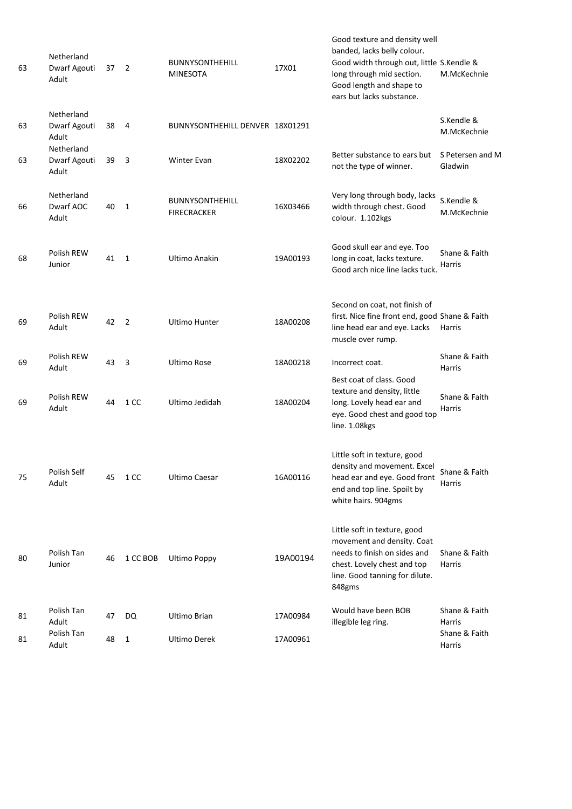| 63 | Netherland<br>Dwarf Agouti<br>Adult | 37 | $\overline{2}$ | <b>BUNNYSONTHEHILL</b><br><b>MINESOTA</b>    | 17X01    | Good texture and density well<br>banded, lacks belly colour.<br>Good width through out, little S.Kendle &<br>long through mid section.<br>Good length and shape to<br>ears but lacks substance. | M.McKechnie                    |
|----|-------------------------------------|----|----------------|----------------------------------------------|----------|-------------------------------------------------------------------------------------------------------------------------------------------------------------------------------------------------|--------------------------------|
| 63 | Netherland<br>Dwarf Agouti<br>Adult | 38 | 4              | BUNNYSONTHEHILL DENVER 18X01291              |          |                                                                                                                                                                                                 | S.Kendle &<br>M.McKechnie      |
| 63 | Netherland<br>Dwarf Agouti<br>Adult | 39 | 3              | Winter Evan                                  | 18X02202 | Better substance to ears but<br>not the type of winner.                                                                                                                                         | S Petersen and M<br>Gladwin    |
| 66 | Netherland<br>Dwarf AOC<br>Adult    | 40 | 1              | <b>BUNNYSONTHEHILL</b><br><b>FIRECRACKER</b> | 16X03466 | Very long through body, lacks<br>width through chest. Good<br>colour. 1.102kgs                                                                                                                  | S.Kendle &<br>M.McKechnie      |
| 68 | Polish REW<br>Junior                | 41 | $\mathbf{1}$   | Ultimo Anakin                                | 19A00193 | Good skull ear and eye. Too<br>long in coat, lacks texture.<br>Good arch nice line lacks tuck.                                                                                                  | Shane & Faith<br><b>Harris</b> |
| 69 | Polish REW<br>Adult                 | 42 | $\overline{2}$ | <b>Ultimo Hunter</b>                         | 18A00208 | Second on coat, not finish of<br>first. Nice fine front end, good Shane & Faith<br>line head ear and eye. Lacks<br>muscle over rump.                                                            | Harris                         |
| 69 | Polish REW<br>Adult                 | 43 | 3              | Ultimo Rose                                  | 18A00218 | Incorrect coat.                                                                                                                                                                                 | Shane & Faith<br>Harris        |
| 69 | Polish REW<br>Adult                 | 44 | 1 CC           | Ultimo Jedidah                               | 18A00204 | Best coat of class. Good<br>texture and density, little<br>long. Lovely head ear and<br>eye. Good chest and good top<br>line. 1.08kgs                                                           | Shane & Faith<br>Harris        |
| 75 | Polish Self<br>Adult                | 45 | 1 CC           | <b>Ultimo Caesar</b>                         | 16A00116 | Little soft in texture, good<br>density and movement. Excel<br>head ear and eye. Good front<br>end and top line. Spoilt by<br>white hairs. 904gms                                               | Shane & Faith<br><b>Harris</b> |
| 80 | Polish Tan<br>Junior                | 46 | 1 CC BOB       | <b>Ultimo Poppy</b>                          | 19A00194 | Little soft in texture, good<br>movement and density. Coat<br>needs to finish on sides and<br>chest. Lovely chest and top<br>line. Good tanning for dilute.<br>848gms                           | Shane & Faith<br><b>Harris</b> |
| 81 | Polish Tan<br>Adult                 | 47 | DQ             | Ultimo Brian                                 | 17A00984 | Would have been BOB<br>illegible leg ring.                                                                                                                                                      | Shane & Faith<br><b>Harris</b> |
| 81 | Polish Tan<br>Adult                 | 48 | 1              | Ultimo Derek                                 | 17A00961 |                                                                                                                                                                                                 | Shane & Faith<br>Harris        |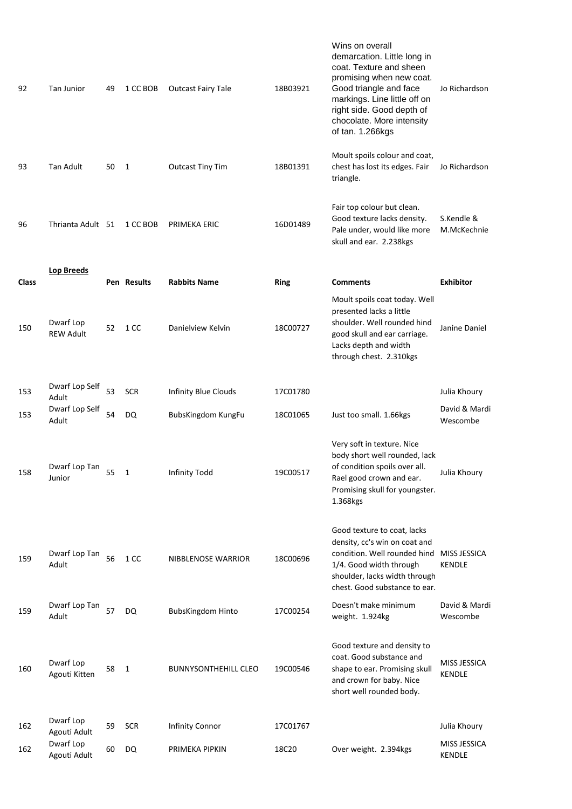| 92           | Tan Junior                    | 49 | 1 CC BOB     | <b>Outcast Fairy Tale</b>   | 18B03921    | Wins on overall<br>demarcation. Little long in<br>coat. Texture and sheen<br>promising when new coat.<br>Good triangle and face<br>markings. Line little off on<br>right side. Good depth of<br>chocolate. More intensity<br>of tan. 1.266kgs | Jo Richardson                        |
|--------------|-------------------------------|----|--------------|-----------------------------|-------------|-----------------------------------------------------------------------------------------------------------------------------------------------------------------------------------------------------------------------------------------------|--------------------------------------|
| 93           | Tan Adult                     | 50 | 1            | <b>Outcast Tiny Tim</b>     | 18B01391    | Moult spoils colour and coat,<br>chest has lost its edges. Fair<br>triangle.                                                                                                                                                                  | Jo Richardson                        |
| 96           | Thrianta Adult 51             |    | 1 CC BOB     | PRIMEKA ERIC                | 16D01489    | Fair top colour but clean.<br>Good texture lacks density.<br>Pale under, would like more<br>skull and ear. 2.238kgs                                                                                                                           | S.Kendle &<br>M.McKechnie            |
| <b>Class</b> | <b>Lop Breeds</b>             |    | Pen Results  | <b>Rabbits Name</b>         | <b>Ring</b> | <b>Comments</b>                                                                                                                                                                                                                               | <b>Exhibitor</b>                     |
| 150          | Dwarf Lop<br><b>REW Adult</b> | 52 | 1 CC         | Danielview Kelvin           | 18C00727    | Moult spoils coat today. Well<br>presented lacks a little<br>shoulder. Well rounded hind<br>good skull and ear carriage.<br>Lacks depth and width<br>through chest. 2.310kgs                                                                  | Janine Daniel                        |
| 153          | Dwarf Lop Self<br>Adult       | 53 | <b>SCR</b>   | Infinity Blue Clouds        | 17C01780    |                                                                                                                                                                                                                                               | Julia Khoury                         |
| 153          | Dwarf Lop Self<br>Adult       | 54 | <b>DQ</b>    | BubsKingdom KungFu          | 18C01065    | Just too small. 1.66kgs                                                                                                                                                                                                                       | David & Mardi<br>Wescombe            |
| 158          | Dwarf Lop Tan<br>Junior       | 55 | $\mathbf{1}$ | Infinity Todd               | 19C00517    | Very soft in texture. Nice<br>body short well rounded, lack<br>of condition spoils over all.<br>Rael good crown and ear.<br>Promising skull for youngster.<br>1.368kgs                                                                        | Julia Khoury                         |
| 159          | Dwarf Lop Tan<br>Adult        | 56 | 1 CC         | NIBBLENOSE WARRIOR          | 18C00696    | Good texture to coat, lacks<br>density, cc's win on coat and<br>condition. Well rounded hind<br>1/4. Good width through<br>shoulder, lacks width through<br>chest. Good substance to ear.                                                     | <b>MISS JESSICA</b><br><b>KENDLE</b> |
| 159          | Dwarf Lop Tan<br>Adult        | 57 | <b>DQ</b>    | <b>BubsKingdom Hinto</b>    | 17C00254    | Doesn't make minimum<br>weight. 1.924kg                                                                                                                                                                                                       | David & Mardi<br>Wescombe            |
| 160          | Dwarf Lop<br>Agouti Kitten    | 58 | 1            | <b>BUNNYSONTHEHILL CLEO</b> | 19C00546    | Good texture and density to<br>coat. Good substance and<br>shape to ear. Promising skull<br>and crown for baby. Nice<br>short well rounded body.                                                                                              | MISS JESSICA<br><b>KENDLE</b>        |
| 162          | Dwarf Lop<br>Agouti Adult     | 59 | <b>SCR</b>   | <b>Infinity Connor</b>      | 17C01767    |                                                                                                                                                                                                                                               | Julia Khoury                         |
| 162          | Dwarf Lop<br>Agouti Adult     | 60 | DQ           | PRIMEKA PIPKIN              | 18C20       | Over weight. 2.394kgs                                                                                                                                                                                                                         | MISS JESSICA<br><b>KENDLE</b>        |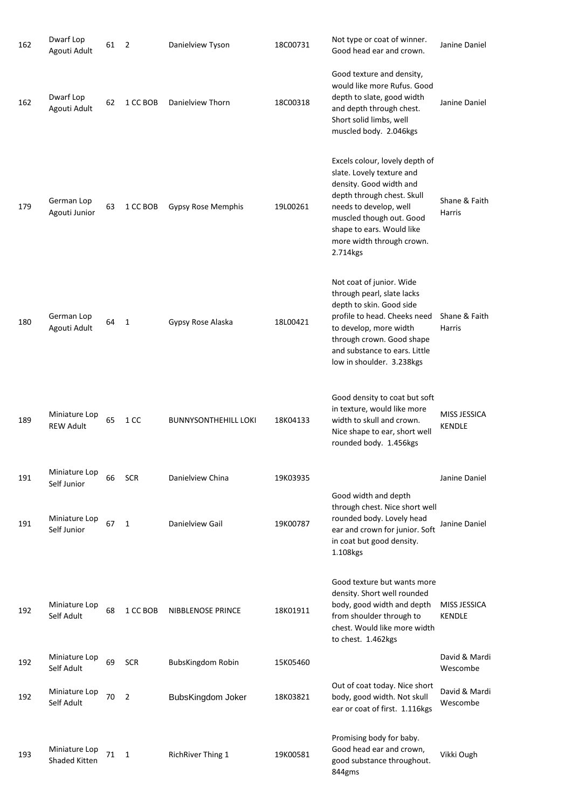| 162 | Dwarf Lop<br>Agouti Adult             | 61 | $\overline{2}$ | Danielview Tyson            | 18C00731 | Not type or coat of winner.<br>Good head ear and crown.                                                                                                                                                                                          | Janine Daniel                 |
|-----|---------------------------------------|----|----------------|-----------------------------|----------|--------------------------------------------------------------------------------------------------------------------------------------------------------------------------------------------------------------------------------------------------|-------------------------------|
| 162 | Dwarf Lop<br>Agouti Adult             | 62 | 1 CC BOB       | Danielview Thorn            | 18C00318 | Good texture and density,<br>would like more Rufus. Good<br>depth to slate, good width<br>and depth through chest.<br>Short solid limbs, well<br>muscled body. 2.046kgs                                                                          | Janine Daniel                 |
| 179 | German Lop<br>Agouti Junior           | 63 | 1 CC BOB       | Gypsy Rose Memphis          | 19L00261 | Excels colour, lovely depth of<br>slate. Lovely texture and<br>density. Good width and<br>depth through chest. Skull<br>needs to develop, well<br>muscled though out. Good<br>shape to ears. Would like<br>more width through crown.<br>2.714kgs | Shane & Faith<br>Harris       |
| 180 | German Lop<br>Agouti Adult            | 64 | $\mathbf{1}$   | Gypsy Rose Alaska           | 18L00421 | Not coat of junior. Wide<br>through pearl, slate lacks<br>depth to skin. Good side<br>profile to head. Cheeks need<br>to develop, more width<br>through crown. Good shape<br>and substance to ears. Little<br>low in shoulder. 3.238kgs          | Shane & Faith<br>Harris       |
| 189 | Miniature Lop<br><b>REW Adult</b>     | 65 | 1 CC           | <b>BUNNYSONTHEHILL LOKI</b> | 18K04133 | Good density to coat but soft<br>in texture, would like more<br>width to skull and crown.<br>Nice shape to ear, short well<br>rounded body. 1.456kgs                                                                                             | MISS JESSICA<br><b>KENDLE</b> |
| 191 | Miniature Lop<br>Self Junior          | 66 | <b>SCR</b>     | Danielview China            | 19K03935 |                                                                                                                                                                                                                                                  | Janine Daniel                 |
| 191 | Miniature Lop<br>Self Junior          | 67 | 1              | Danielview Gail             | 19K00787 | Good width and depth<br>through chest. Nice short well<br>rounded body. Lovely head<br>ear and crown for junior. Soft<br>in coat but good density.<br>1.108kgs                                                                                   | Janine Daniel                 |
| 192 | Miniature Lop<br>Self Adult           | 68 | 1 CC BOB       | NIBBLENOSE PRINCE           | 18K01911 | Good texture but wants more<br>density. Short well rounded<br>body, good width and depth<br>from shoulder through to<br>chest. Would like more width<br>to chest. 1.462kgs                                                                       | MISS JESSICA<br>KENDLE        |
| 192 | Miniature Lop<br>Self Adult           | 69 | <b>SCR</b>     | <b>BubsKingdom Robin</b>    | 15K05460 |                                                                                                                                                                                                                                                  | David & Mardi<br>Wescombe     |
| 192 | Miniature Lop<br>Self Adult           | 70 | $\overline{2}$ | BubsKingdom Joker           | 18K03821 | Out of coat today. Nice short<br>body, good width. Not skull<br>ear or coat of first. 1.116kgs                                                                                                                                                   | David & Mardi<br>Wescombe     |
| 193 | Miniature Lop<br><b>Shaded Kitten</b> | 71 | 1              | <b>RichRiver Thing 1</b>    | 19K00581 | Promising body for baby.<br>Good head ear and crown,<br>good substance throughout.<br>844gms                                                                                                                                                     | Vikki Ough                    |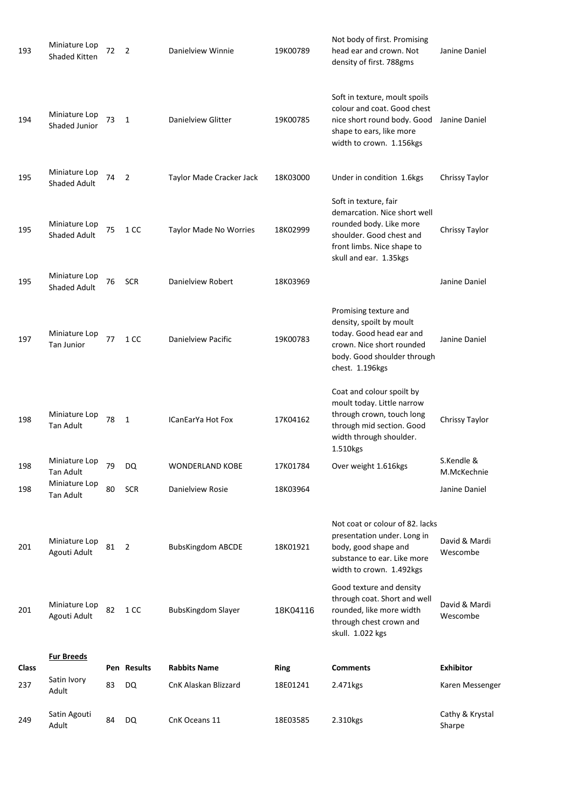| 193                 | Miniature Lop<br>Shaded Kitten        | 72 | $\overline{2}$ | Danielview Winnie                           | 19K00789                | Not body of first. Promising<br>head ear and crown. Not<br>density of first. 788gms                                                                                  | Janine Daniel             |
|---------------------|---------------------------------------|----|----------------|---------------------------------------------|-------------------------|----------------------------------------------------------------------------------------------------------------------------------------------------------------------|---------------------------|
| 194                 | Miniature Lop<br><b>Shaded Junior</b> | 73 | 1              | Danielview Glitter                          | 19K00785                | Soft in texture, moult spoils<br>colour and coat. Good chest<br>nice short round body. Good<br>shape to ears, like more<br>width to crown. 1.156kgs                  | Janine Daniel             |
| 195                 | Miniature Lop<br><b>Shaded Adult</b>  | 74 | 2              | Taylor Made Cracker Jack                    | 18K03000                | Under in condition 1.6kgs                                                                                                                                            | Chrissy Taylor            |
| 195                 | Miniature Lop<br><b>Shaded Adult</b>  | 75 | 1 CC           | Taylor Made No Worries                      | 18K02999                | Soft in texture, fair<br>demarcation. Nice short well<br>rounded body. Like more<br>shoulder. Good chest and<br>front limbs. Nice shape to<br>skull and ear. 1.35kgs | Chrissy Taylor            |
| 195                 | Miniature Lop<br><b>Shaded Adult</b>  | 76 | <b>SCR</b>     | Danielview Robert                           | 18K03969                |                                                                                                                                                                      | Janine Daniel             |
| 197                 | Miniature Lop<br><b>Tan Junior</b>    | 77 | 1 CC           | Danielview Pacific                          | 19K00783                | Promising texture and<br>density, spoilt by moult<br>today. Good head ear and<br>crown. Nice short rounded<br>body. Good shoulder through<br>chest. 1.196kgs         | Janine Daniel             |
| 198                 | Miniature Lop<br><b>Tan Adult</b>     | 78 | 1              | ICanEarYa Hot Fox                           | 17K04162                | Coat and colour spoilt by<br>moult today. Little narrow<br>through crown, touch long<br>through mid section. Good<br>width through shoulder.<br>1.510kgs             | Chrissy Taylor            |
| 198                 | Miniature Lop<br><b>Tan Adult</b>     | 79 | DQ             | WONDERLAND KOBE                             | 17K01784                | Over weight 1.616kgs                                                                                                                                                 | S.Kendle &<br>M.McKechnie |
| 198                 | Miniature Lop<br>Tan Adult            | 80 | <b>SCR</b>     | Danielview Rosie                            | 18K03964                |                                                                                                                                                                      | Janine Daniel             |
| 201                 | Miniature Lop<br>Agouti Adult         | 81 | $\overline{2}$ | <b>BubsKingdom ABCDE</b>                    | 18K01921                | Not coat or colour of 82. lacks<br>presentation under. Long in<br>body, good shape and<br>substance to ear. Like more<br>width to crown. 1.492kgs                    | David & Mardi<br>Wescombe |
| 201                 | Miniature Lop<br>Agouti Adult         | 82 | 1 CC           | <b>BubsKingdom Slayer</b>                   | 18K04116                | Good texture and density<br>through coat. Short and well<br>rounded, like more width<br>through chest crown and<br>skull. 1.022 kgs                                  | David & Mardi<br>Wescombe |
|                     | <b>Fur Breeds</b>                     |    | Pen Results    |                                             |                         | <b>Comments</b>                                                                                                                                                      | <b>Exhibitor</b>          |
| <b>Class</b><br>237 | Satin Ivory                           | 83 | DQ             | <b>Rabbits Name</b><br>CnK Alaskan Blizzard | <b>Ring</b><br>18E01241 | 2.471kgs                                                                                                                                                             | Karen Messenger           |
|                     | Adult                                 |    |                |                                             |                         |                                                                                                                                                                      |                           |
| 249                 | Satin Agouti<br>Adult                 | 84 | DQ             | CnK Oceans 11                               | 18E03585                | 2.310kgs                                                                                                                                                             | Cathy & Krystal<br>Sharpe |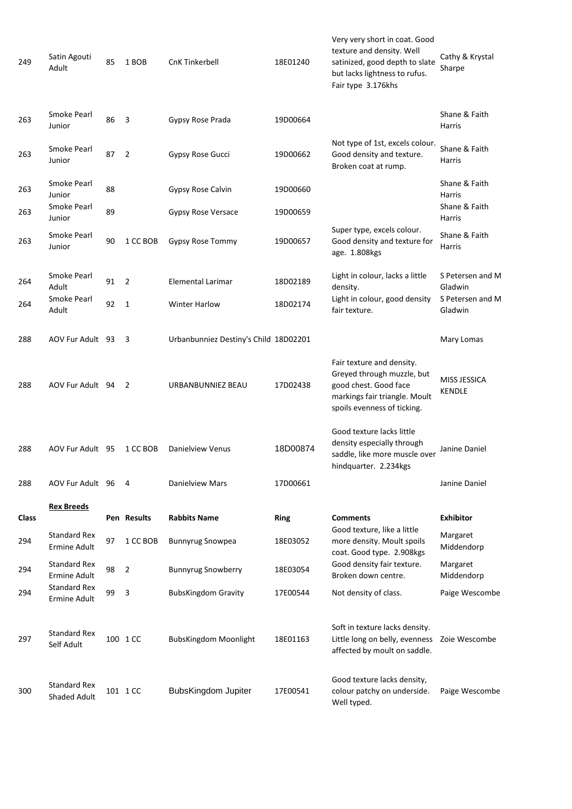| 249   | Satin Agouti<br>Adult               | 85 | 1 BOB          | CnK Tinkerbell                        | 18E01240    | Very very short in coat. Good<br>texture and density. Well<br>satinized, good depth to slate<br>but lacks lightness to rufus.<br>Fair type 3.176khs | Cathy & Krystal<br>Sharpe     |
|-------|-------------------------------------|----|----------------|---------------------------------------|-------------|-----------------------------------------------------------------------------------------------------------------------------------------------------|-------------------------------|
| 263   | Smoke Pearl<br>Junior               | 86 | 3              | Gypsy Rose Prada                      | 19D00664    |                                                                                                                                                     | Shane & Faith<br>Harris       |
| 263   | Smoke Pearl<br>Junior               | 87 | 2              | Gypsy Rose Gucci                      | 19D00662    | Not type of 1st, excels colour.<br>Good density and texture.<br>Broken coat at rump.                                                                | Shane & Faith<br>Harris       |
| 263   | Smoke Pearl<br>Junior               | 88 |                | Gypsy Rose Calvin                     | 19D00660    |                                                                                                                                                     | Shane & Faith<br>Harris       |
| 263   | Smoke Pearl<br>Junior               | 89 |                | Gypsy Rose Versace                    | 19D00659    |                                                                                                                                                     | Shane & Faith<br>Harris       |
| 263   | Smoke Pearl<br>Junior               | 90 | 1 CC BOB       | Gypsy Rose Tommy                      | 19D00657    | Super type, excels colour.<br>Good density and texture for<br>age. 1.808kgs                                                                         | Shane & Faith<br>Harris       |
| 264   | Smoke Pearl<br>Adult                | 91 | $\overline{2}$ | Elemental Larimar                     | 18D02189    | Light in colour, lacks a little<br>density.                                                                                                         | S Petersen and M<br>Gladwin   |
| 264   | Smoke Pearl<br>Adult                | 92 | 1              | <b>Winter Harlow</b>                  | 18D02174    | Light in colour, good density<br>fair texture.                                                                                                      | S Petersen and M<br>Gladwin   |
| 288   | AOV Fur Adult 93                    |    | 3              | Urbanbunniez Destiny's Child 18D02201 |             |                                                                                                                                                     | Mary Lomas                    |
| 288   | AOV Fur Adult 94                    |    | 2              | URBANBUNNIEZ BEAU                     | 17D02438    | Fair texture and density.<br>Greyed through muzzle, but<br>good chest. Good face<br>markings fair triangle. Moult<br>spoils evenness of ticking.    | MISS JESSICA<br><b>KENDLE</b> |
| 288   | AOV Fur Adult 95                    |    | 1 CC BOB       | Danielview Venus                      | 18D00874    | Good texture lacks little<br>density especially through<br>saddle, like more muscle over<br>hindquarter. 2.234kgs                                   | Janine Daniel                 |
| 288   | AOV Fur Adult 96                    |    | 4              | Danielview Mars                       | 17D00661    |                                                                                                                                                     | Janine Daniel                 |
| Class | <b>Rex Breeds</b>                   |    | Pen Results    | <b>Rabbits Name</b>                   | <b>Ring</b> | <b>Comments</b>                                                                                                                                     | <b>Exhibitor</b>              |
| 294   | <b>Standard Rex</b><br>Ermine Adult | 97 | 1 CC BOB       | <b>Bunnyrug Snowpea</b>               | 18E03052    | Good texture, like a little<br>more density. Moult spoils<br>coat. Good type. 2.908kgs                                                              | Margaret<br>Middendorp        |
| 294   | <b>Standard Rex</b><br>Ermine Adult | 98 | 2              | <b>Bunnyrug Snowberry</b>             | 18E03054    | Good density fair texture.<br>Broken down centre.                                                                                                   | Margaret<br>Middendorp        |
| 294   | <b>Standard Rex</b><br>Ermine Adult | 99 | 3              | <b>BubsKingdom Gravity</b>            | 17E00544    | Not density of class.                                                                                                                               | Paige Wescombe                |
| 297   | <b>Standard Rex</b><br>Self Adult   |    | 100 1 CC       | <b>BubsKingdom Moonlight</b>          | 18E01163    | Soft in texture lacks density.<br>Little long on belly, evenness  Zoie Wescombe<br>affected by moult on saddle.                                     |                               |
| 300   | <b>Standard Rex</b><br>Shaded Adult |    | 101 1 CC       | BubsKingdom Jupiter                   | 17E00541    | Good texture lacks density,<br>colour patchy on underside.<br>Well typed.                                                                           | Paige Wescombe                |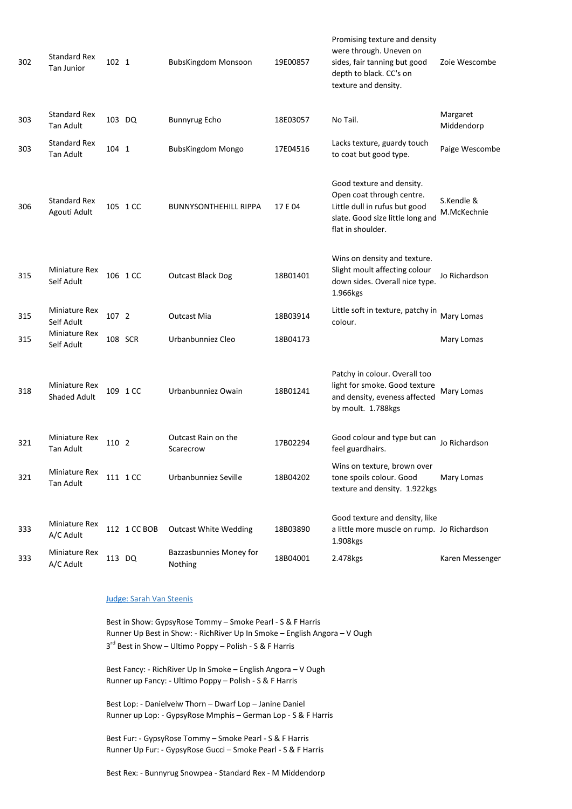| 302 | <b>Standard Rex</b><br><b>Tan Junior</b>    | 102 1  |              | BubsKingdom Monsoon                | 19E00857 | Promising texture and density<br>were through. Uneven on<br>sides, fair tanning but good<br>depth to black. CC's on<br>texture and density.      | Zoie Wescombe             |
|-----|---------------------------------------------|--------|--------------|------------------------------------|----------|--------------------------------------------------------------------------------------------------------------------------------------------------|---------------------------|
| 303 | <b>Standard Rex</b><br>Tan Adult            | 103 DQ |              | <b>Bunnyrug Echo</b>               | 18E03057 | No Tail.                                                                                                                                         | Margaret<br>Middendorp    |
| 303 | <b>Standard Rex</b><br>Tan Adult            | 104 1  |              | <b>BubsKingdom Mongo</b>           | 17E04516 | Lacks texture, guardy touch<br>to coat but good type.                                                                                            | Paige Wescombe            |
| 306 | <b>Standard Rex</b><br>Agouti Adult         |        | 105 1 CC     | <b>BUNNYSONTHEHILL RIPPA</b>       | 17 E 04  | Good texture and density.<br>Open coat through centre.<br>Little dull in rufus but good<br>slate. Good size little long and<br>flat in shoulder. | S.Kendle &<br>M.McKechnie |
| 315 | Miniature Rex<br>Self Adult                 |        | 106 1 CC     | <b>Outcast Black Dog</b>           | 18B01401 | Wins on density and texture.<br>Slight moult affecting colour<br>down sides. Overall nice type.<br>1.966kgs                                      | Jo Richardson             |
| 315 | Miniature Rex<br>Self Adult                 | 107 2  |              | <b>Outcast Mia</b>                 | 18B03914 | Little soft in texture, patchy in<br>colour.                                                                                                     | Mary Lomas                |
| 315 | Miniature Rex<br>Self Adult                 |        | 108 SCR      | Urbanbunniez Cleo                  | 18B04173 |                                                                                                                                                  | Mary Lomas                |
| 318 | <b>Miniature Rex</b><br><b>Shaded Adult</b> |        | 109 1 CC     | Urbanbunniez Owain                 | 18B01241 | Patchy in colour. Overall too<br>light for smoke. Good texture<br>and density, eveness affected<br>by moult. 1.788kgs                            | Mary Lomas                |
| 321 | <b>Miniature Rex</b><br><b>Tan Adult</b>    | 110 2  |              | Outcast Rain on the<br>Scarecrow   | 17B02294 | Good colour and type but can<br>feel guardhairs.                                                                                                 | Jo Richardson             |
| 321 | Miniature Rex<br>Tan Adult                  |        | 111 1 CC     | Urbanbunniez Seville               | 18B04202 | Wins on texture, brown over<br>tone spoils colour. Good<br>texture and density. 1.922kgs                                                         | Mary Lomas                |
| 333 | Miniature Rex<br>A/C Adult                  |        | 112 1 CC BOB | <b>Outcast White Wedding</b>       | 18B03890 | Good texture and density, like<br>a little more muscle on rump. Jo Richardson<br>1.908kgs                                                        |                           |
| 333 | Miniature Rex<br>A/C Adult                  |        | 113 DQ       | Bazzasbunnies Money for<br>Nothing | 18B04001 | 2.478kgs                                                                                                                                         | Karen Messenger           |

## Judge: Sarah Van Steenis

Best in Show: GypsyRose Tommy – Smoke Pearl - S & F Harris Runner Up Best in Show: - RichRiver Up In Smoke – English Angora – V Ough 3<sup>rd</sup> Best in Show – Ultimo Poppy – Polish - S & F Harris

Best Fancy: - RichRiver Up In Smoke – English Angora – V Ough Runner up Fancy: - Ultimo Poppy – Polish - S & F Harris

Runner up Lop: - GypsyRose Mmphis – German Lop - S & F Harris Best Lop: - Danielveiw Thorn – Dwarf Lop – Janine Daniel

Best Fur: - GypsyRose Tommy – Smoke Pearl - S & F Harris Runner Up Fur: - GypsyRose Gucci – Smoke Pearl - S & F Harris

Best Rex: - Bunnyrug Snowpea - Standard Rex - M Middendorp